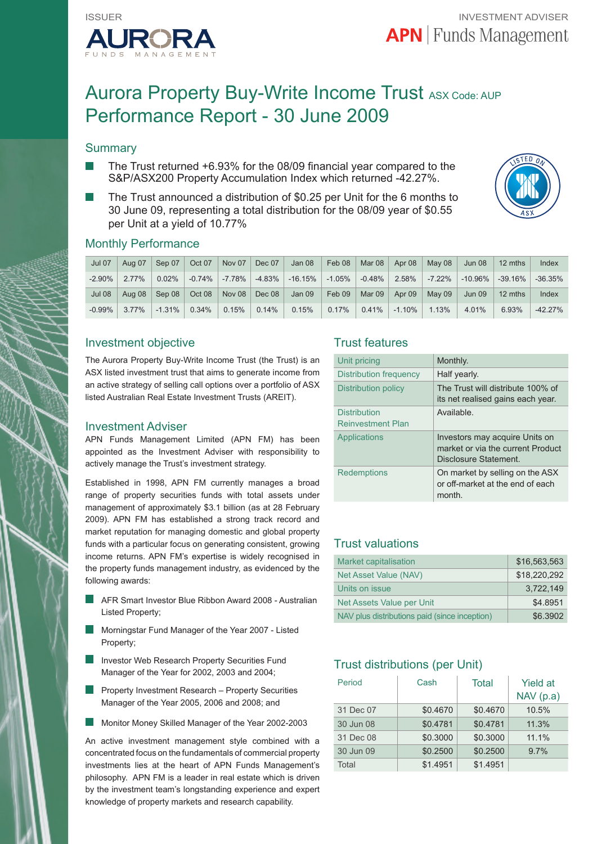

# Aurora Property Buy-Write Income Trust ASX Code: AUP Performance Report - 30 June 2009

# **Summary**

- The Trust returned +6.93% for the 08/09 financial year compared to the S&P/ASX200 Property Accumulation Index which returned -42.27%.
- The Trust announced a distribution of \$0.25 per Unit for the 6 months to 30 June 09, representing a total distribution for the 08/09 year of \$0.55 per Unit at a yield of 10.77%



## Monthly Performance

| <b>Jul 07</b> | Aug 07   | Sep 07                | Oct 07   | Nov 07                        | Dec 07                        | Jan 08     | Feb 08 $\vert$                     | Mar 08 $\parallel$    | Apr 08 $\parallel$ | May 08 $\vert$ | Jun 08        | 12 mths    | Index     |
|---------------|----------|-----------------------|----------|-------------------------------|-------------------------------|------------|------------------------------------|-----------------------|--------------------|----------------|---------------|------------|-----------|
| $-2.90\%$     | 2.77%    | $0.02\%$              |          | $-0.74\%$ $-7.78\%$ $-4.83\%$ |                               | $-16.15\%$ | $\mid$ -1.05% $\mid$ -0.48% $\mid$ |                       | $2.58\%$           | -7.22%         | l -10.96% l   | $-39.16\%$ | $-36.35%$ |
| Jul 08        |          | Aug 08 $\vert$ Sep 08 | Oct 08   |                               | Nov 08 $\vert$ Dec 08 $\vert$ | Jan 09     | $\vert$ Feb 09   Mar 09            |                       | Apr 09 $\parallel$ | Mav09          | <b>Jun 09</b> | 12 mths    | Index     |
| $-0.99\%$     | $3.77\%$ | $-1.31\%$             | $0.34\%$ | 0.15%                         | $0.14\%$                      | $0.15\%$   | $0.17\%$                           | $\vert$ 0.41% $\vert$ | $-1.10\%$          | 1.13%          | 4.01%         | 6.93%      | $-42.27%$ |

### Investment objective

The Aurora Property Buy-Write Income Trust (the Trust) is an ASX listed investment trust that aims to generate income from an active strategy of selling call options over a portfolio of ASX listed Australian Real Estate Investment Trusts (AREIT).

#### Investment Adviser

APN Funds Management Limited (APN FM) has been appointed as the Investment Adviser with responsibility to actively manage the Trust's investment strategy.

Established in 1998, APN FM currently manages a broad range of property securities funds with total assets under management of approximately \$3.1 billion (as at 28 February 2009). APN FM has established a strong track record and market reputation for managing domestic and global property funds with a particular focus on generating consistent, growing income returns. APN FM's expertise is widely recognised in the property funds management industry, as evidenced by the following awards:

- AFR Smart Investor Blue Ribbon Award 2008 Australian Listed Property;
- Morningstar Fund Manager of the Year 2007 Listed Property;
- Investor Web Research Property Securities Fund Manager of the Year for 2002, 2003 and 2004;
- **Property Investment Research Property Securities** Manager of the Year 2005, 2006 and 2008; and
- Monitor Money Skilled Manager of the Year 2002-2003

An active investment management style combined with a concentrated focus on the fundamentals of commercial property investments lies at the heart of APN Funds Management's philosophy. APN FM is a leader in real estate which is driven by the investment team's longstanding experience and expert knowledge of property markets and research capability.

### Trust features

| Unit pricing                                    | Monthly.                                                                                    |
|-------------------------------------------------|---------------------------------------------------------------------------------------------|
| Distribution frequency                          | Half yearly.                                                                                |
| Distribution policy                             | The Trust will distribute 100% of<br>its net realised gains each year.                      |
| <b>Distribution</b><br><b>Reinvestment Plan</b> | Available.                                                                                  |
| Applications                                    | Investors may acquire Units on<br>market or via the current Product<br>Disclosure Statement |
| <b>Redemptions</b>                              | On market by selling on the ASX<br>or off-market at the end of each<br>month.               |

# Trust valuations

| <b>Market capitalisation</b>                  | \$16.563.563 |
|-----------------------------------------------|--------------|
| Net Asset Value (NAV)                         | \$18,220,292 |
| Units on issue                                | 3.722.149    |
| Net Assets Value per Unit                     | \$4.8951     |
| NAV plus distributions paid (since inception) | \$6.3902     |

# Trust distributions (per Unit)

| Period    | Cash     | Total    | <b>Yield at</b><br>NAV(p.a) |
|-----------|----------|----------|-----------------------------|
| 31 Dec 07 | \$0.4670 | \$0.4670 | 10.5%                       |
| 30 Jun 08 | \$0.4781 | \$0.4781 | 11.3%                       |
| 31 Dec 08 | \$0.3000 | \$0.3000 | 11.1%                       |
| 30 Jun 09 | \$0.2500 | \$0.2500 | 9.7%                        |
| Total     | \$1.4951 | \$1.4951 |                             |